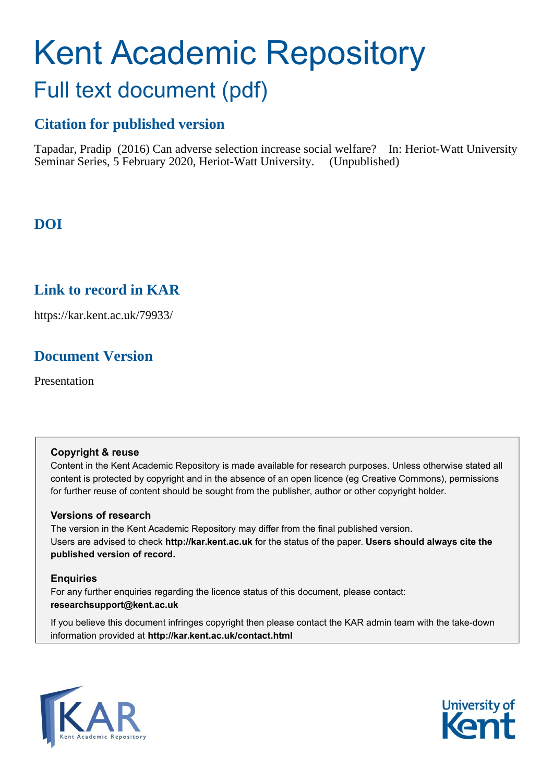# Kent Academic Repository Full text document (pdf)

# **Citation for published version**

Tapadar, Pradip (2016) Can adverse selection increase social welfare? In: Heriot-Watt University Seminar Series, 5 February 2020, Heriot-Watt University. (Unpublished)

# **DOI**

# **Link to record in KAR**

https://kar.kent.ac.uk/79933/

# **Document Version**

Presentation

#### **Copyright & reuse**

Content in the Kent Academic Repository is made available for research purposes. Unless otherwise stated all content is protected by copyright and in the absence of an open licence (eg Creative Commons), permissions for further reuse of content should be sought from the publisher, author or other copyright holder.

#### **Versions of research**

The version in the Kent Academic Repository may differ from the final published version. Users are advised to check **http://kar.kent.ac.uk** for the status of the paper. **Users should always cite the published version of record.**

#### **Enquiries**

For any further enquiries regarding the licence status of this document, please contact: **researchsupport@kent.ac.uk**

If you believe this document infringes copyright then please contact the KAR admin team with the take-down information provided at **http://kar.kent.ac.uk/contact.html**



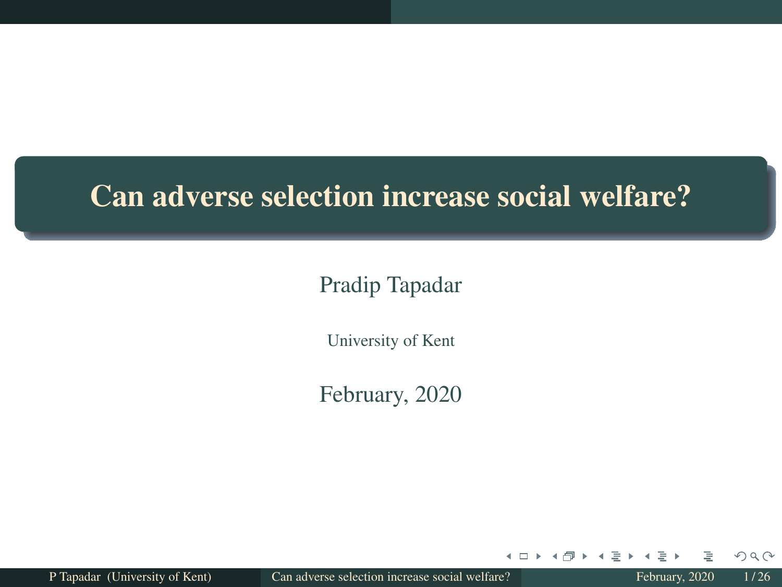# Can adverse selection increase social welfare?

#### Pradip Tapadar

University of Kent

February, 2020

P Tapadar (University of Kent) Can adverse selection increase social welfare? February, 2020 1/26

4 □ ▶

×.

 $QQQ$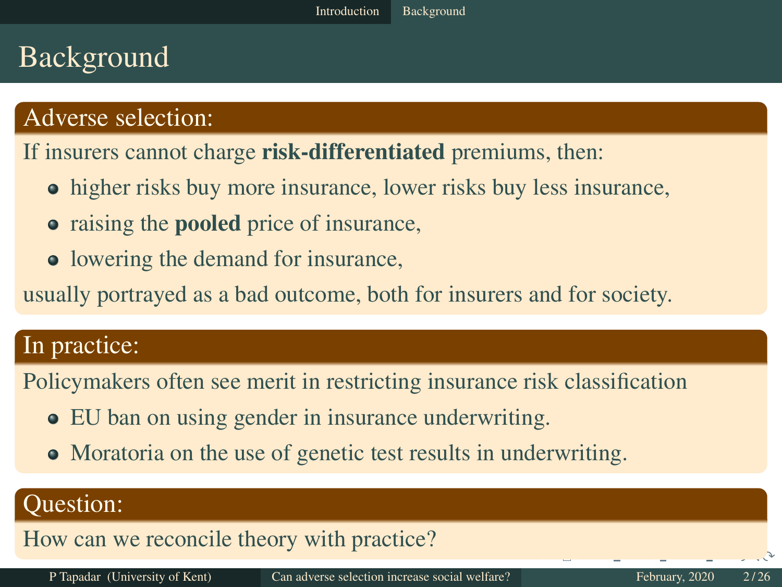# Background

#### Adverse selection:

If insurers cannot charge **risk-differentiated** premiums, then:

- higher risks buy more insurance, lower risks buy less insurance,
- raising the **pooled** price of insurance,
- lowering the demand for insurance,

usually portrayed as a bad outcome, both for insurers and for society.

#### In practice:

Policymakers often see merit in restricting insurance risk classification

- EU ban on using gender in insurance underwriting.
- Moratoria on the use of genetic test results in underwriting.

#### Question:

How can we reconcile theory with practice?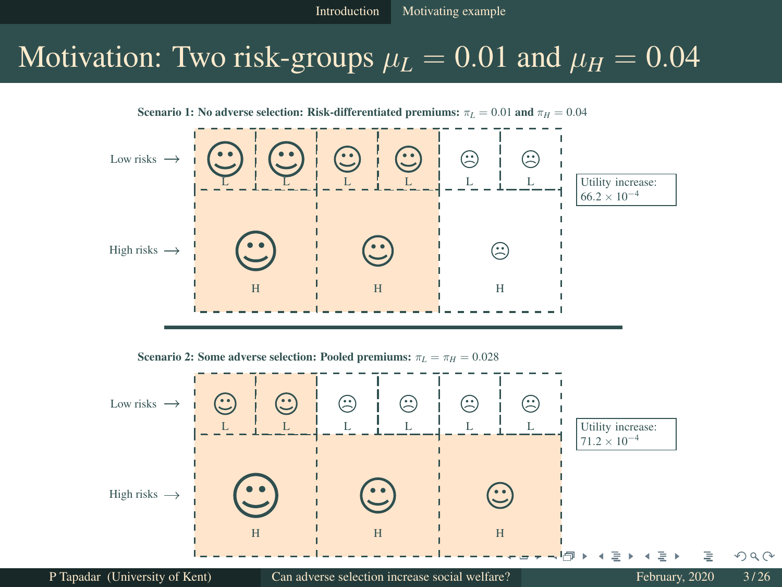## Motivation: Two risk-groups  $\mu_L = 0.01$  and  $\mu_H = 0.04$

Scenario 1: No adverse selection: Risk-differentiated premiums:  $\pi_L = 0.01$  and  $\pi_H = 0.04$ 



Scenario 2: Some adverse selection: Pooled premiums:  $\pi_L = \pi_H = 0.028$ 

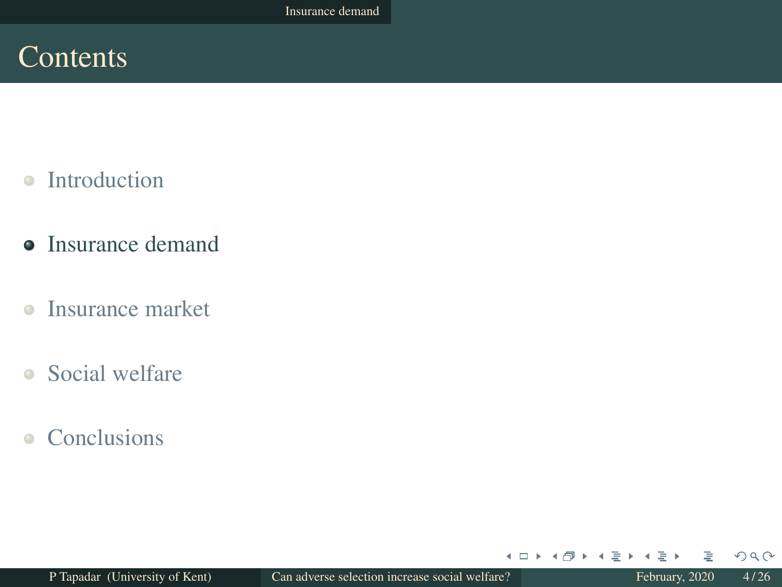# **Contents**

- $\bullet$ Introduction
- Insurance demand
- $\bullet$ Insurance market
- Social welfare
- Conclusions

 $\leftarrow$   $\Box$   $\rightarrow$ 

- 4

同 ▶ ◀ ヨ ▶

 $\epsilon$  $\Rightarrow$   $\rightarrow$   $QQQ$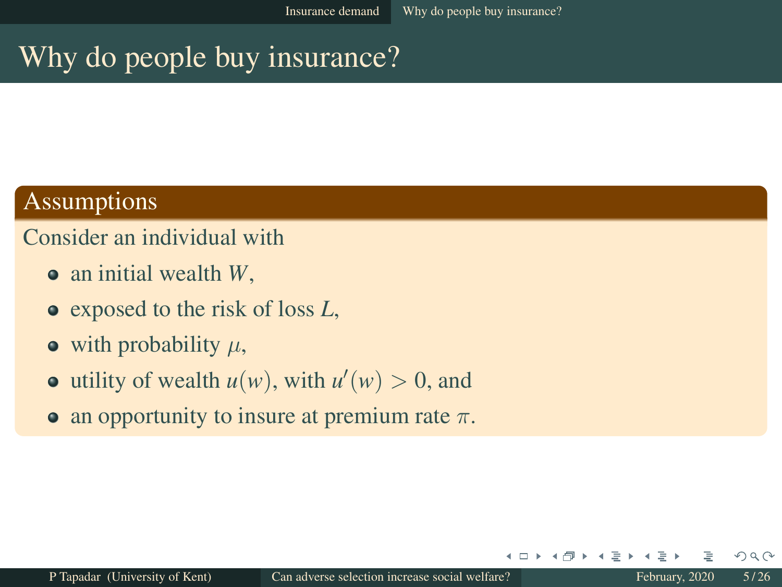# Why do people buy insurance?

#### Assumptions

#### Consider an individual with

- an initial wealth *W*,
- exposed to the risk of loss *L*,
- $\bullet$  with probability  $\mu$ ,
- utility of wealth  $u(w)$ , with  $u'(w) > 0$ , and
- an opportunity to insure at premium rate  $\pi$ .

+ □

 $\Omega$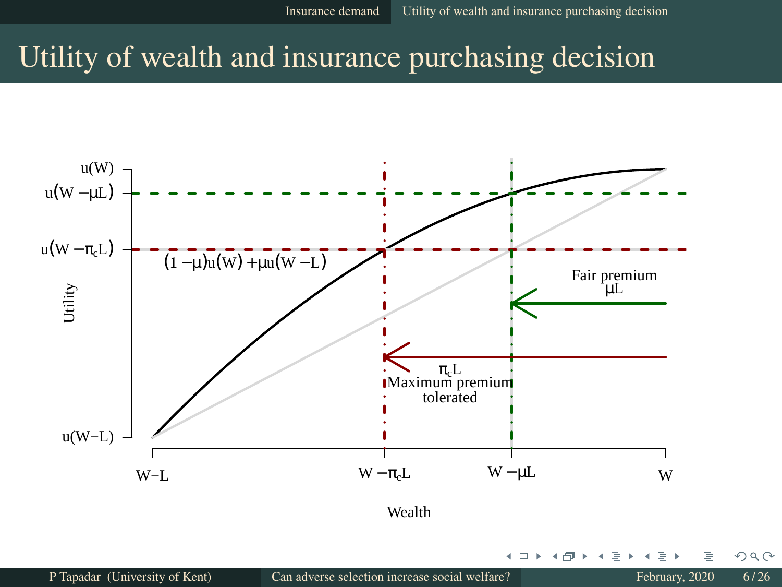# Utility of wealth and insurance purchasing decision



4 0 8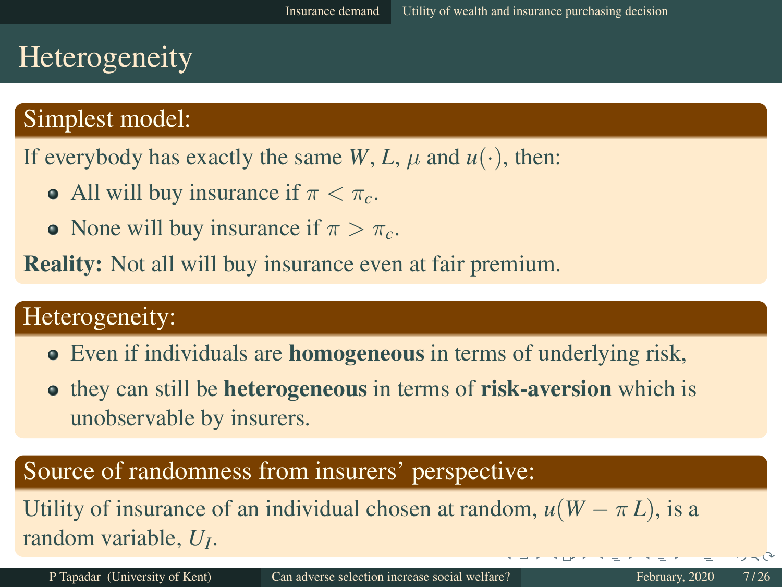# Heterogeneity

#### Simplest model:

If everybody has exactly the same  $W$ ,  $L$ ,  $\mu$  and  $u(\cdot)$ , then:

- All will buy insurance if  $\pi < \pi_c$ .
- None will buy insurance if  $\pi > \pi_c$ .

Reality: Not all will buy insurance even at fair premium.

#### Heterogeneity:

- Even if individuals are **homogeneous** in terms of underlying risk,
- **•** they can still be **heterogeneous** in terms of **risk-aversion** which is unobservable by insurers.

#### Source of randomness from insurers' perspective:

Utility of insurance of an individual chosen at random,  $u(W - \pi L)$ , is a random variable, *U<sup>I</sup>* .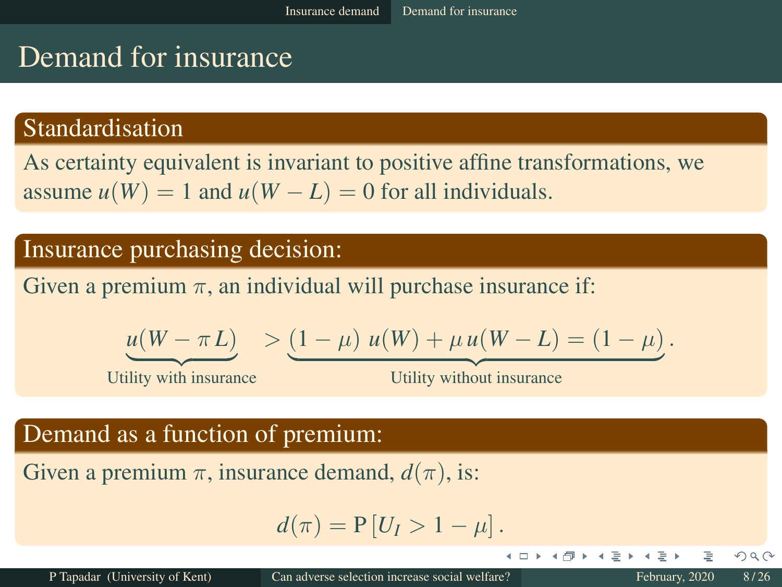# Demand for insurance

#### Standardisation

As certainty equivalent is invariant to positive affine transformations, we assume  $u(W) = 1$  and  $u(W - L) = 0$  for all individuals.

#### Insurance purchasing decision:

Given a premium  $\pi$ , an individual will purchase insurance if:

$$
\underline{u(W-\pi L)} > (1-\mu) u(W) + \mu u(W-L) = (1-\mu).
$$

Utility with insurance

Utility without insurance

4 □ ▶

#### Demand as a function of premium:

Given a premium  $\pi$ , insurance demand,  $d(\pi)$ , is:

$$
d(\pi) = P[U_I > 1 - \mu].
$$

 $OQ$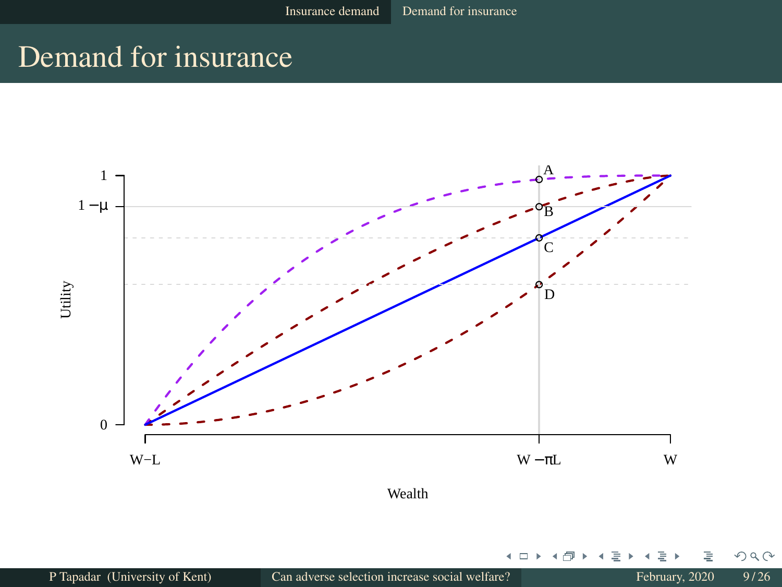# Demand for insurance



Wealth

4 □ ▶

×. ∍ × ∍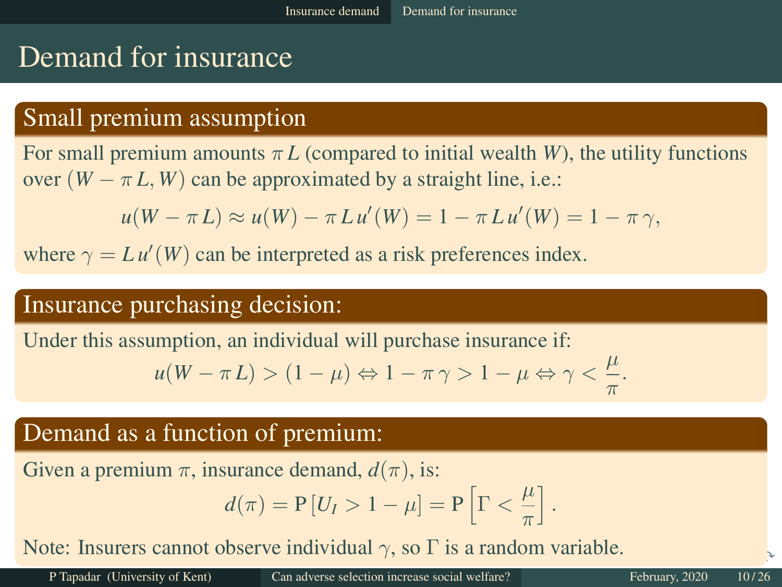# Demand for insurance

#### Small premium assumption

For small premium amounts  $\pi L$  (compared to initial wealth *W*), the utility functions over  $(W - \pi L, W)$  can be approximated by a straight line, i.e.:

$$
u(W - \pi L) \approx u(W) - \pi L u'(W) = 1 - \pi L u'(W) = 1 - \pi \gamma,
$$

where  $\gamma = L u'(W)$  can be interpreted as a risk preferences index.

#### Insurance purchasing decision:

Under this assumption, an individual will purchase insurance if:

$$
u(W - \pi L) > (1 - \mu) \Leftrightarrow 1 - \pi \gamma > 1 - \mu \Leftrightarrow \gamma < \frac{\mu}{\pi}.
$$

#### Demand as a function of premium:

Given a premium  $\pi$ , insurance demand,  $d(\pi)$ , is:

$$
d(\pi) = P[U_I > 1 - \mu] = P\left[\Gamma < \frac{\mu}{\pi}\right].
$$

Note: Insurers cannot observe individual  $\gamma$ , so  $\Gamma$  is a random variable.

P Tapadar (University of Kent) Can adverse selection increase social welfare? February, 2020 10/26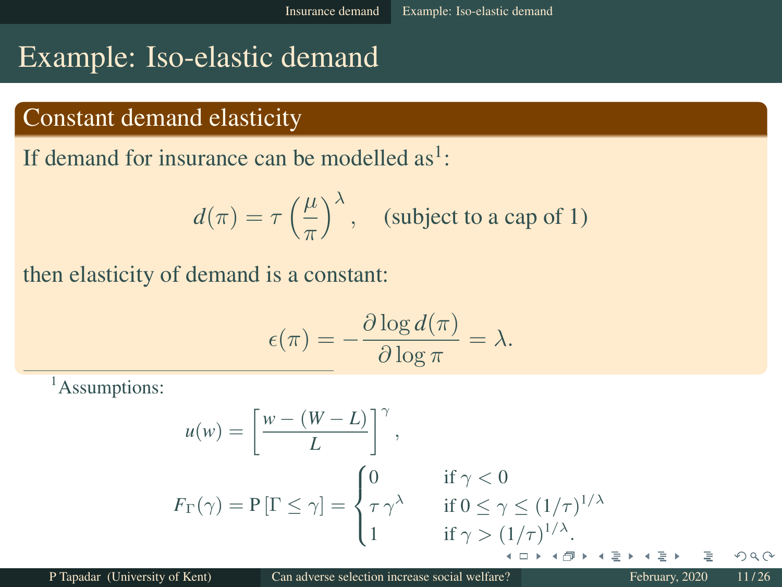# Example: Iso-elastic demand

#### Constant demand elasticity

If demand for insurance can be modelled as<sup>1</sup>:

$$
d(\pi) = \tau \left(\frac{\mu}{\pi}\right)^{\lambda}, \quad \text{(subject to a cap of 1)}
$$

then elasticity of demand is a constant:

$$
\epsilon(\pi) = -\frac{\partial \log d(\pi)}{\partial \log \pi} = \lambda.
$$

<sup>1</sup>Assumptions:

$$
u(w) = \left[\frac{w - (W - L)}{L}\right]^\gamma,
$$
  
\n
$$
F_{\Gamma}(\gamma) = P[\Gamma \le \gamma] = \begin{cases} 0 & \text{if } \gamma < 0 \\ \tau \gamma^{\lambda} & \text{if } 0 \le \gamma \le (1/\tau)^{1/\lambda} \\ 1 & \text{if } \gamma > (1/\tau)^{1/\lambda}. \end{cases}
$$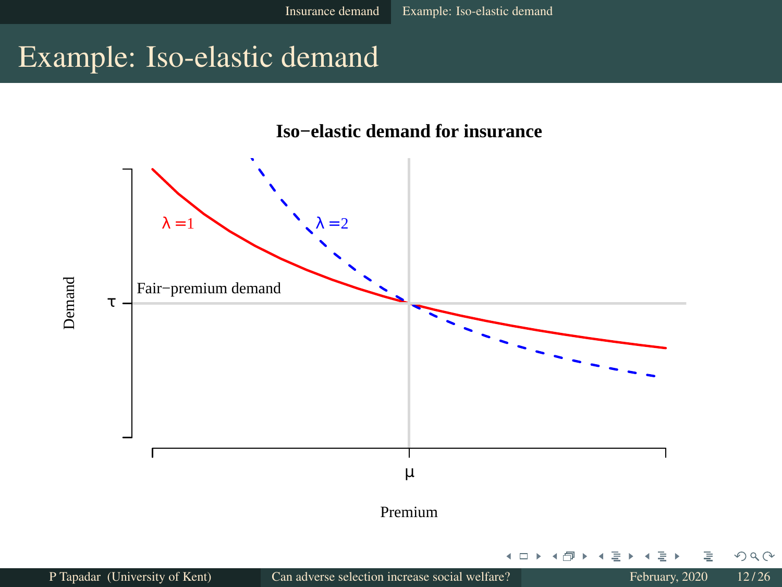# Example: Iso-elastic demand



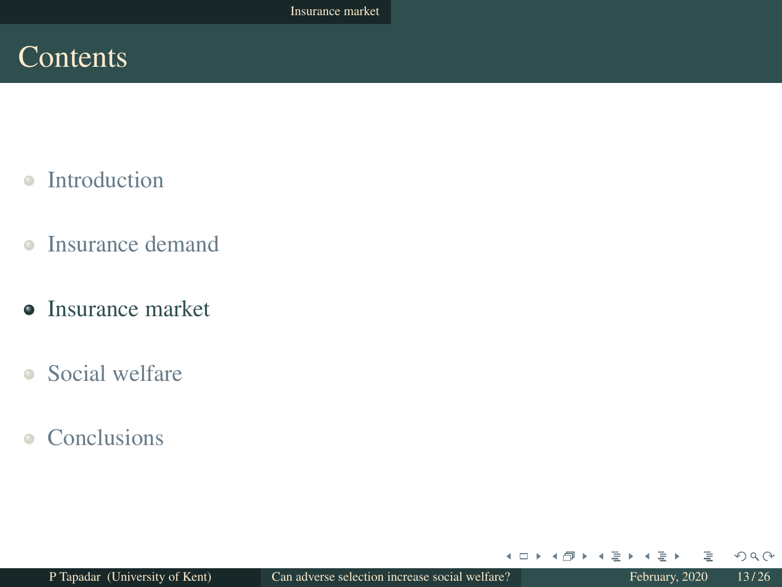## **Contents**

- $\bullet$ Introduction
- $\bullet$ Insurance demand
- Insurance market
- Social welfare
- Conclusions

 $\leftarrow$   $\Box$   $\rightarrow$ 

 $\rightarrow$  $\Box$   $\Rightarrow$ 

 $\rightarrow \equiv + +$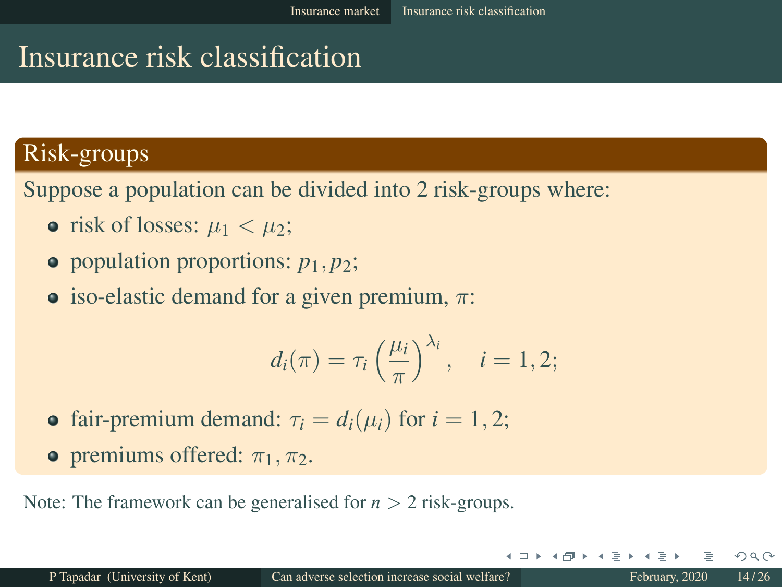# Insurance risk classification

#### Risk-groups

Suppose a population can be divided into 2 risk-groups where:

- risk of losses:  $\mu_1 < \mu_2$ ;
- $\bullet$  population proportions:  $p_1, p_2$ ;
- iso-elastic demand for a given premium,  $\pi$ :

$$
d_i(\pi) = \tau_i \left(\frac{\mu_i}{\pi}\right)^{\lambda_i}, \quad i = 1, 2;
$$

- fair-premium demand:  $\tau_i = d_i(\mu_i)$  for  $i = 1, 2$ ;
- **•** premiums offered:  $\pi_1$ ,  $\pi_2$ .

Note: The framework can be generalised for  $n > 2$  risk-groups.

 $\Omega$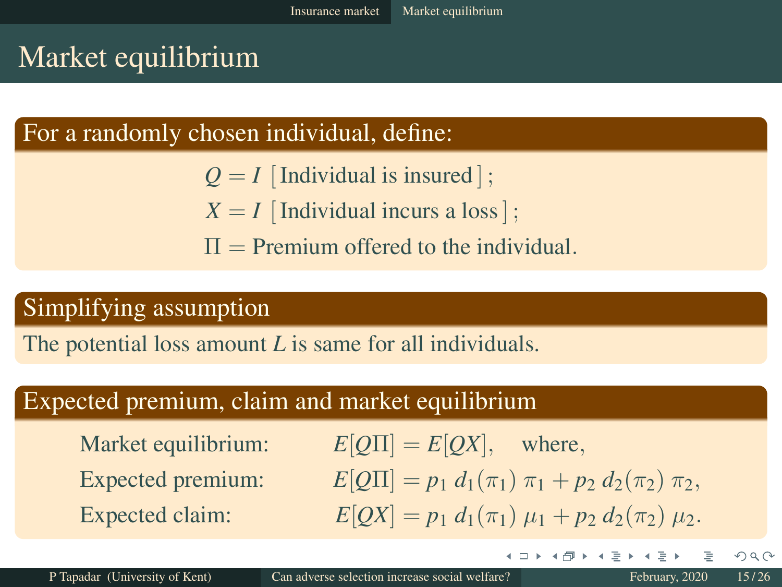# Market equilibrium

#### For a randomly chosen individual, define:

- $Q = I$  [Individual is insured];
- $X = I$  [Individual incurs a loss];
- $\Pi$  = Premium offered to the individual.

#### Simplifying assumption

The potential loss amount *L* is same for all individuals.

#### Expected premium, claim and market equilibrium

Market equilibrium:  $E[Q\Pi] = E[QX]$ , where, Expected premium:  $E[Q\Pi] = p_1 d_1(\pi_1) \pi_1 + p_2 d_2(\pi_2) \pi_2$ Expected claim:  $E[OX] = p_1 d_1(\pi_1) \mu_1 + p_2 d_2(\pi_2) \mu_2.$ 

 $4.17 \times$ 

 $\rightarrow$   $\oplus$   $\rightarrow$   $\rightarrow$   $\oplus$   $\rightarrow$   $\rightarrow$   $\oplus$   $\rightarrow$ 

 $OQ$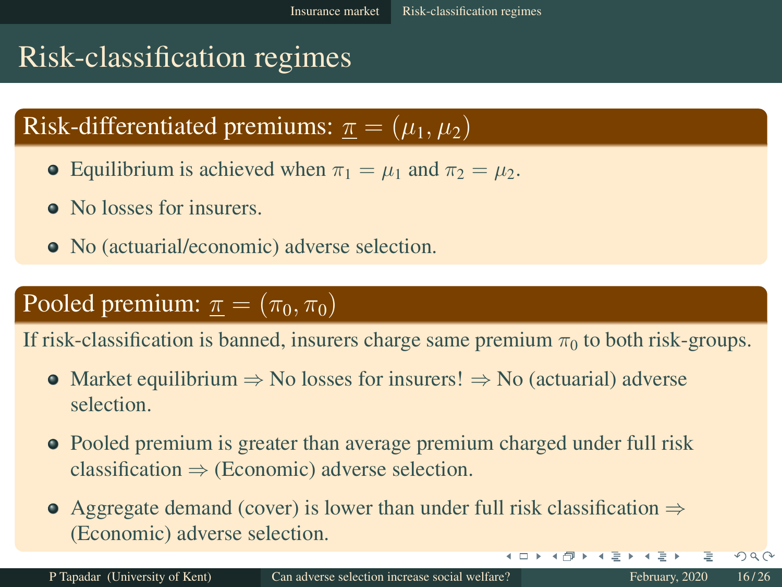# Risk-classification regimes

# Risk-differentiated premiums:  $\pi = (\mu_1, \mu_2)$

- **•** Equilibrium is achieved when  $\pi_1 = \mu_1$  and  $\pi_2 = \mu_2$ .
- No losses for insurers.
- No (actuarial/economic) adverse selection.

## Pooled premium:  $\pi = (\pi_0, \pi_0)$

If risk-classification is banned, insurers charge same premium  $\pi_0$  to both risk-groups.

- Market equilibrium  $\Rightarrow$  No losses for insurers!  $\Rightarrow$  No (actuarial) adverse selection.
- Pooled premium is greater than average premium charged under full risk classification  $\Rightarrow$  (Economic) adverse selection.
- $\bullet$  Aggregate demand (cover) is lower than under full risk classification  $\Rightarrow$ (Economic) adverse selection.

 $\left\{ \begin{array}{ccc} 1 & 0 & 0 \\ 0 & 1 & 0 \end{array} \right\}$  ,  $\left\{ \begin{array}{ccc} 0 & 0 & 0 \\ 0 & 0 & 0 \end{array} \right\}$ 

 $QQ$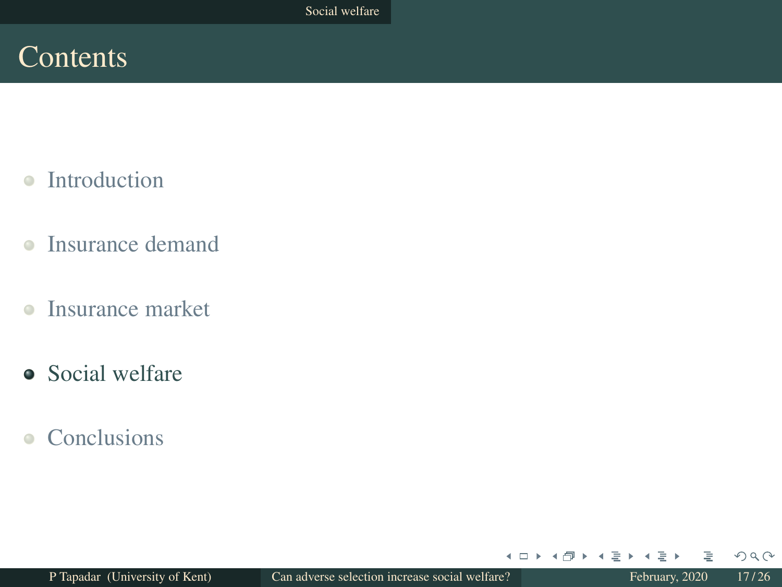## **Contents**

- $\bullet$ Introduction
- $\bullet$ Insurance demand
- $\bullet$ Insurance market
- Social welfare
- Conclusions

 $\leftarrow$   $\Box$ 

 $\rightarrow$ 一句  $\rightarrow$   $\equiv$   $\rightarrow$  $\blacktriangleleft$  $\Rightarrow$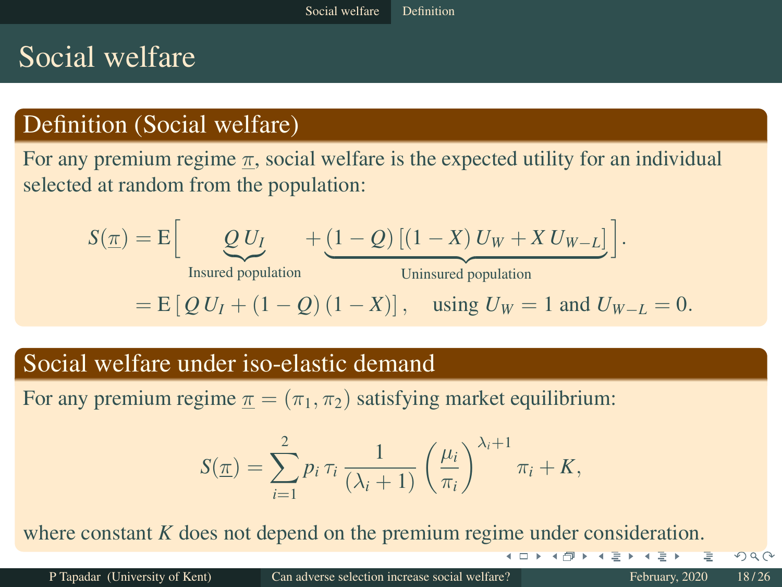# Social welfare

#### Definition (Social welfare)

For any premium regime  $\pi$ , social welfare is the expected utility for an individual selected at random from the population:

$$
S(\underline{\pi}) = E \Big[ \underbrace{Q U_I}_{\text{Insured population}} + \underbrace{(1 - Q) [(1 - X) U_W + X U_{W - L}]}_{\text{Uninsured population}} \Big].
$$
  
= E [ Q U\_I + (1 - Q) (1 - X)], using U\_W = 1 and U\_{W - L} = 0.

#### Social welfare under iso-elastic demand

For any premium regime  $\pi = (\pi_1, \pi_2)$  satisfying market equilibrium:

$$
S(\underline{\pi}) = \sum_{i=1}^{2} p_i \tau_i \frac{1}{(\lambda_i + 1)} \left(\frac{\mu_i}{\pi_i}\right)^{\lambda_i + 1} \pi_i + K,
$$

where constant *K* does not depend on the premium regime under consideration.

 $QQ$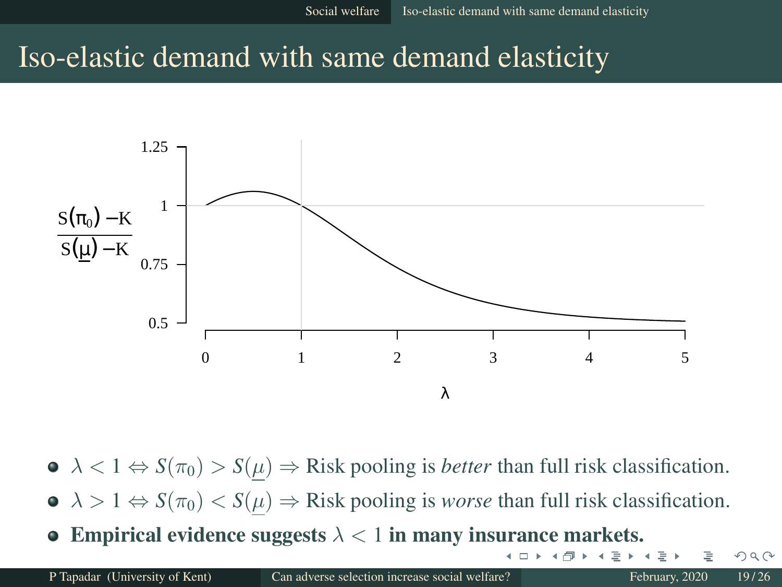## Iso-elastic demand with same demand elasticity



- $\bullet \ \lambda < 1 \Leftrightarrow S(\pi_0) > S(\mu) \Rightarrow$  Risk pooling is *better* than full risk classification.
- $\bullet \ \lambda > 1 \Leftrightarrow S(\pi_0) < S(\mu) \Rightarrow$  Risk pooling is *worse* than full risk classification.
- **Empirical evidence suggests**  $\lambda < 1$  in many insurance markets.

+ □ ▶

 $\Omega$ 

 $\Rightarrow$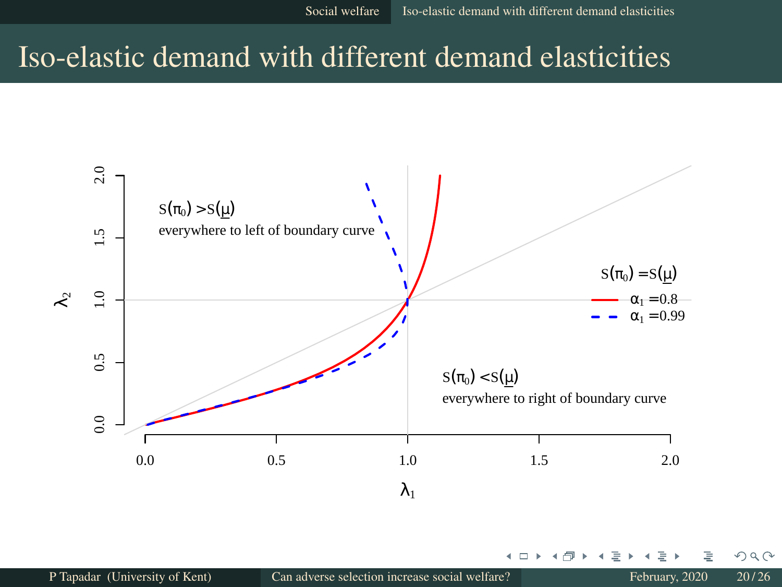# Iso-elastic demand with different demand elasticities



+ □

 $QQ$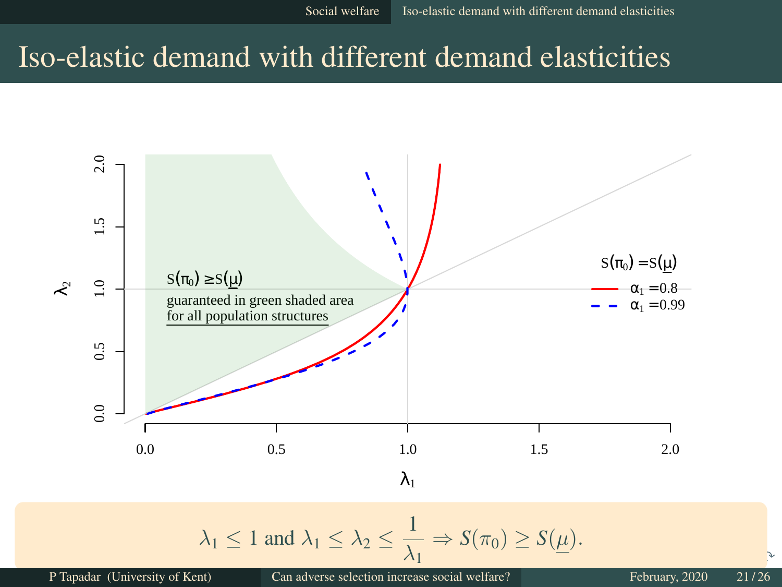# Iso-elastic demand with different demand elasticities



P Tapadar (University of Kent) Can adverse selection increase social welfare? February, 2020 21/26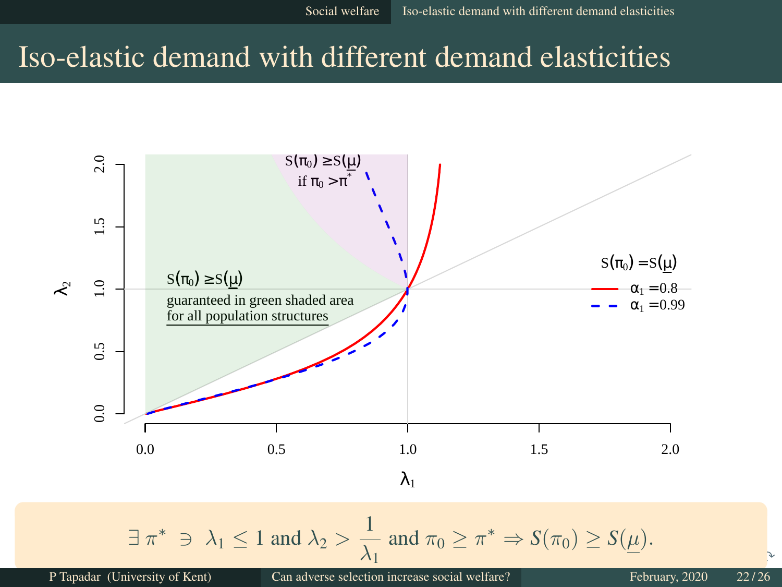# Iso-elastic demand with different demand elasticities

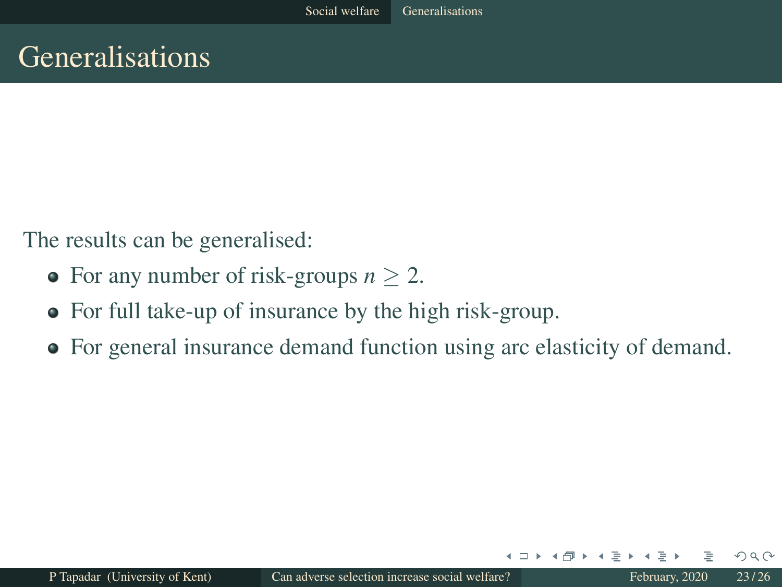# Generalisations

The results can be generalised:

- For any number of risk-groups  $n > 2$ .
- For full take-up of insurance by the high risk-group.
- For general insurance demand function using arc elasticity of demand.

 $\leftarrow$   $\Box$ 

 $\Omega$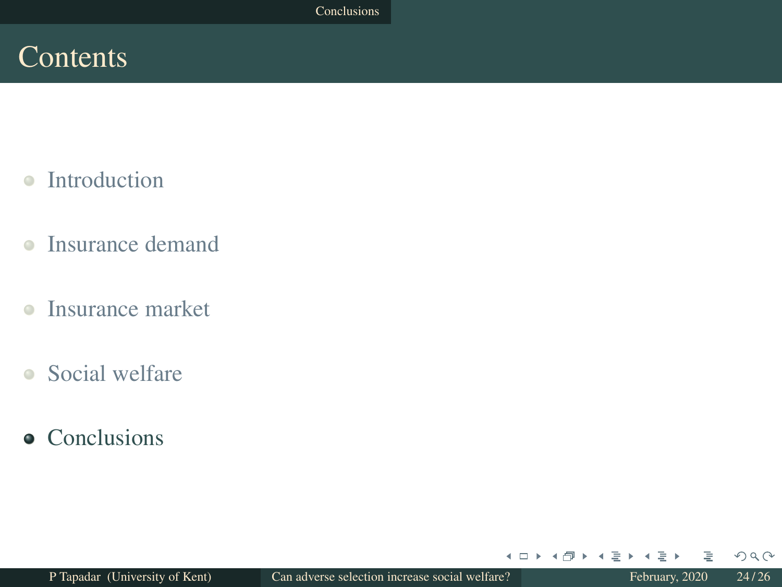## **Contents**

- Introduction  $\bullet$
- $\bullet$ Insurance demand
- $\bullet$ Insurance market
- Social welfare
- **•** Conclusions

 $\leftarrow$   $\Box$ 

 $\rightarrow$  $\Box$ 

 $\rightarrow$   $\equiv$   $\rightarrow$  $\blacktriangleleft$  $\Rightarrow$   $QQQ$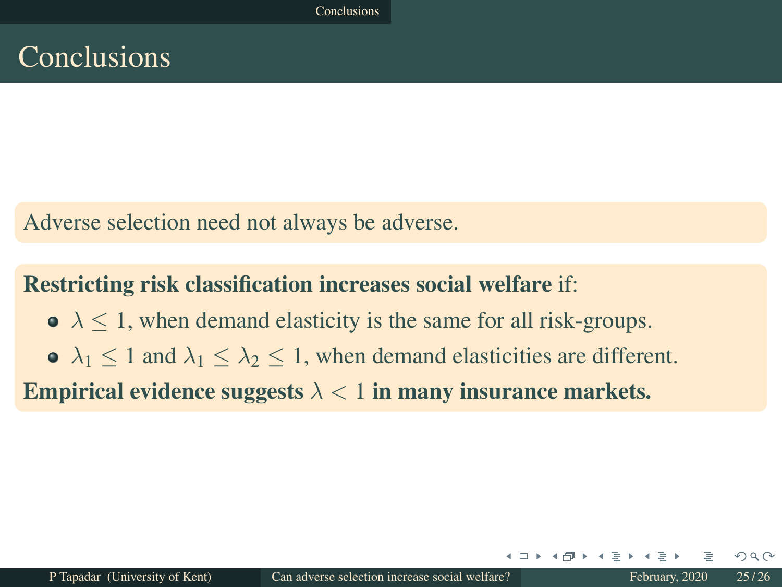Adverse selection need not always be adverse.

#### Restricting risk classification increases social welfare if:

 $\lambda \leq 1$ , when demand elasticity is the same for all risk-groups.  $\lambda_1$  < 1 and  $\lambda_1$  <  $\lambda_2$  < 1, when demand elasticities are different.

Empirical evidence suggests  $\lambda < 1$  in many insurance markets.

 $\Omega$